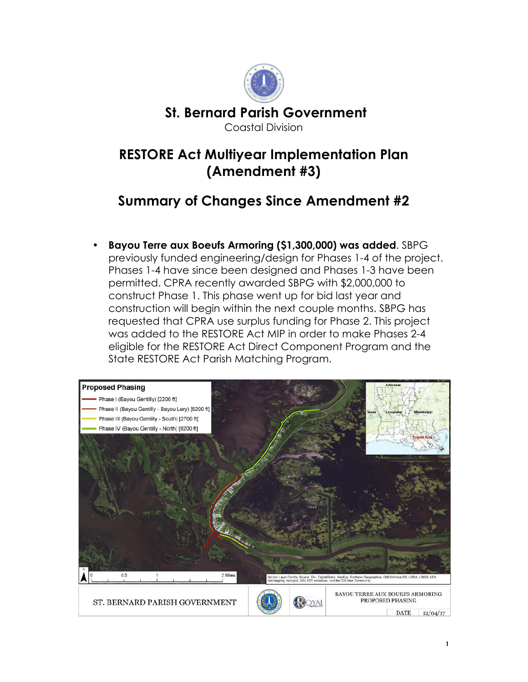

## **RESTORE Act Multiyear Implementation Plan (Amendment #3)**

## **Summary of Changes Since Amendment #2**

• **Bayou Terre aux Boeufs Armoring (\$1,300,000) was added**. SBPG previously funded engineering/design for Phases 1-4 of the project. Phases 1-4 have since been designed and Phases 1-3 have been permitted. CPRA recently awarded SBPG with \$2,000,000 to construct Phase 1. This phase went up for bid last year and construction will begin within the next couple months. SBPG has requested that CPRA use surplus funding for Phase 2. This project was added to the RESTORE Act MIP in order to make Phases 2-4 eligible for the RESTORE Act Direct Component Program and the State RESTORE Act Parish Matching Program.

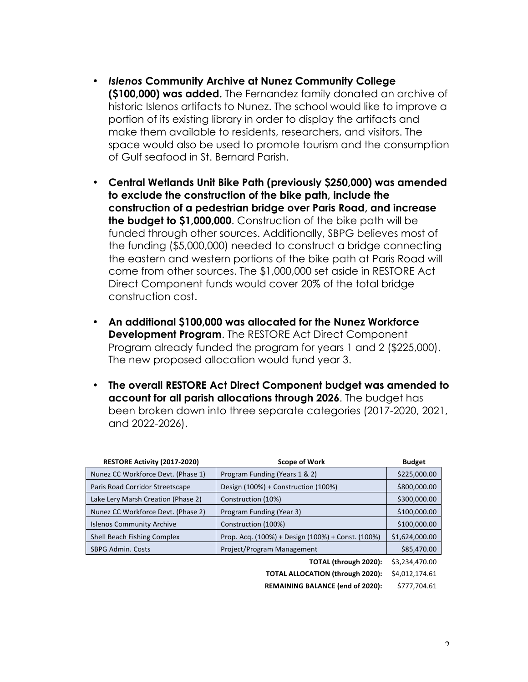- *Islenos* **Community Archive at Nunez Community College (\$100,000) was added.** The Fernandez family donated an archive of historic Islenos artifacts to Nunez. The school would like to improve a portion of its existing library in order to display the artifacts and make them available to residents, researchers, and visitors. The space would also be used to promote tourism and the consumption of Gulf seafood in St. Bernard Parish.
- **Central Wetlands Unit Bike Path (previously \$250,000) was amended to exclude the construction of the bike path, include the construction of a pedestrian bridge over Paris Road, and increase the budget to \$1,000,000**. Construction of the bike path will be funded through other sources. Additionally, SBPG believes most of the funding (\$5,000,000) needed to construct a bridge connecting the eastern and western portions of the bike path at Paris Road will come from other sources. The \$1,000,000 set aside in RESTORE Act Direct Component funds would cover 20% of the total bridge construction cost.
- **An additional \$100,000 was allocated for the Nunez Workforce Development Program**. The RESTORE Act Direct Component Program already funded the program for years 1 and 2 (\$225,000). The new proposed allocation would fund year 3.
- **The overall RESTORE Act Direct Component budget was amended to account for all parish allocations through 2026**. The budget has been broken down into three separate categories (2017-2020, 2021, and 2022-2026).

| RESTORE Activity (2017-2020)       | <b>Scope of Work</b>                              | <b>Budget</b>  |
|------------------------------------|---------------------------------------------------|----------------|
| Nunez CC Workforce Devt. (Phase 1) | Program Funding (Years 1 & 2)                     | \$225,000.00   |
| Paris Road Corridor Streetscape    | Design (100%) + Construction (100%)               | \$800,000.00   |
| Lake Lery Marsh Creation (Phase 2) | Construction (10%)                                | \$300,000.00   |
| Nunez CC Workforce Devt. (Phase 2) | Program Funding (Year 3)                          | \$100,000.00   |
| <b>Islenos Community Archive</b>   | Construction (100%)                               | \$100,000.00   |
| Shell Beach Fishing Complex        | Prop. Acq. (100%) + Design (100%) + Const. (100%) | \$1,624,000.00 |
| <b>SBPG Admin. Costs</b>           | Project/Program Management                        | \$85,470.00    |
|                                    | TOTAL (through 2020):                             | \$3,234,470.00 |
|                                    | <b>TOTAL ALLOCATION (through 2020):</b>           | \$4.012.174.61 |

**REMAINING BALANCE (end of 2020): \$777,704.61** 

 $\mathcal{L}$